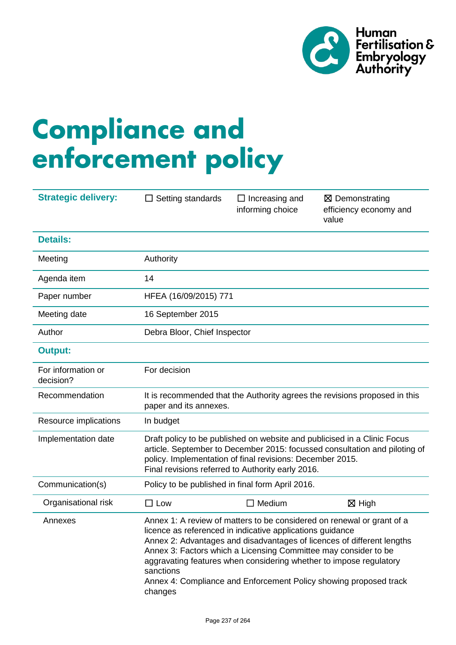

# **Compliance and enforcement policy**

| <b>Strategic delivery:</b>      | $\Box$ Setting standards                                                                                                                                                                                                                                                 | $\Box$ Increasing and<br>informing choice                                                                                                                                                          | ⊠ Demonstrating<br>efficiency economy and<br>value                                                                                                                                                                    |  |
|---------------------------------|--------------------------------------------------------------------------------------------------------------------------------------------------------------------------------------------------------------------------------------------------------------------------|----------------------------------------------------------------------------------------------------------------------------------------------------------------------------------------------------|-----------------------------------------------------------------------------------------------------------------------------------------------------------------------------------------------------------------------|--|
| <b>Details:</b>                 |                                                                                                                                                                                                                                                                          |                                                                                                                                                                                                    |                                                                                                                                                                                                                       |  |
| Meeting                         | Authority                                                                                                                                                                                                                                                                |                                                                                                                                                                                                    |                                                                                                                                                                                                                       |  |
| Agenda item                     | 14                                                                                                                                                                                                                                                                       |                                                                                                                                                                                                    |                                                                                                                                                                                                                       |  |
| Paper number                    | HFEA (16/09/2015) 771                                                                                                                                                                                                                                                    |                                                                                                                                                                                                    |                                                                                                                                                                                                                       |  |
| Meeting date                    | 16 September 2015                                                                                                                                                                                                                                                        |                                                                                                                                                                                                    |                                                                                                                                                                                                                       |  |
| Author                          | Debra Bloor, Chief Inspector                                                                                                                                                                                                                                             |                                                                                                                                                                                                    |                                                                                                                                                                                                                       |  |
| <b>Output:</b>                  |                                                                                                                                                                                                                                                                          |                                                                                                                                                                                                    |                                                                                                                                                                                                                       |  |
| For information or<br>decision? | For decision                                                                                                                                                                                                                                                             |                                                                                                                                                                                                    |                                                                                                                                                                                                                       |  |
| Recommendation                  | It is recommended that the Authority agrees the revisions proposed in this<br>paper and its annexes.                                                                                                                                                                     |                                                                                                                                                                                                    |                                                                                                                                                                                                                       |  |
| Resource implications           | In budget                                                                                                                                                                                                                                                                |                                                                                                                                                                                                    |                                                                                                                                                                                                                       |  |
| Implementation date             | Draft policy to be published on website and publicised in a Clinic Focus<br>article. September to December 2015: focussed consultation and piloting of<br>policy. Implementation of final revisions: December 2015.<br>Final revisions referred to Authority early 2016. |                                                                                                                                                                                                    |                                                                                                                                                                                                                       |  |
| Communication(s)                | Policy to be published in final form April 2016.                                                                                                                                                                                                                         |                                                                                                                                                                                                    |                                                                                                                                                                                                                       |  |
| Organisational risk             | $\Box$ Low                                                                                                                                                                                                                                                               | $\Box$ Medium                                                                                                                                                                                      | $\boxtimes$ High                                                                                                                                                                                                      |  |
| Annexes                         | sanctions<br>changes                                                                                                                                                                                                                                                     | licence as referenced in indicative applications guidance<br>Annex 3: Factors which a Licensing Committee may consider to be<br>aggravating features when considering whether to impose regulatory | Annex 1: A review of matters to be considered on renewal or grant of a<br>Annex 2: Advantages and disadvantages of licences of different lengths<br>Annex 4: Compliance and Enforcement Policy showing proposed track |  |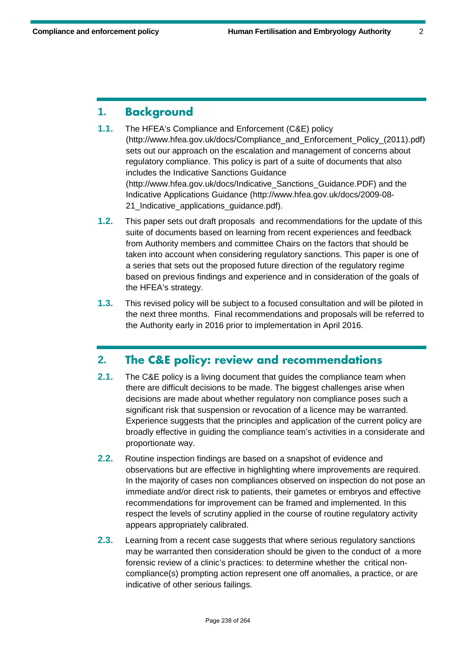## **1. Background**

- **1.1.** The HFEA's Compliance and Enforcement (C&E) policy [\(http://www.hfea.gov.uk/docs/Compliance\\_and\\_Enforcement\\_Policy\\_\(2011\).pdf\)](http://www.hfea.gov.uk/docs/Compliance_and_Enforcement_Policy_(2011).pdf) sets out our approach on the escalation and management of concerns about regulatory compliance. This policy is part of a suite of documents that also includes the Indicative Sanctions Guidance [\(http://www.hfea.gov.uk/docs/Indicative\\_Sanctions\\_Guidance.PDF\)](http://www.hfea.gov.uk/docs/Indicative_Sanctions_Guidance.PDF) and the Indicative Applications Guidance [\(http://www.hfea.gov.uk/docs/2009-08-](http://www.hfea.gov.uk/docs/2009-08-21_Indicative_applications_guidance.pdf) 21 Indicative applications quidance.pdf).
- **1.2.** This paper sets out draft proposals and recommendations for the update of this suite of documents based on learning from recent experiences and feedback from Authority members and committee Chairs on the factors that should be taken into account when considering regulatory sanctions. This paper is one of a series that sets out the proposed future direction of the regulatory regime based on previous findings and experience and in consideration of the goals of the HFEA's strategy.
- **1.3.** This revised policy will be subject to a focused consultation and will be piloted in the next three months. Final recommendations and proposals will be referred to the Authority early in 2016 prior to implementation in April 2016.

## **2. The C&E policy: review and recommendations**

- **2.1.** The C&E policy is a living document that guides the compliance team when there are difficult decisions to be made. The biggest challenges arise when decisions are made about whether regulatory non compliance poses such a significant risk that suspension or revocation of a licence may be warranted. Experience suggests that the principles and application of the current policy are broadly effective in guiding the compliance team's activities in a considerate and proportionate way.
- **2.2.** Routine inspection findings are based on a snapshot of evidence and observations but are effective in highlighting where improvements are required. In the majority of cases non compliances observed on inspection do not pose an immediate and/or direct risk to patients, their gametes or embryos and effective recommendations for improvement can be framed and implemented. In this respect the levels of scrutiny applied in the course of routine regulatory activity appears appropriately calibrated.
- **2.3.** Learning from a recent case suggests that where serious regulatory sanctions may be warranted then consideration should be given to the conduct of a more forensic review of a clinic's practices: to determine whether the critical noncompliance(s) prompting action represent one off anomalies, a practice, or are indicative of other serious failings.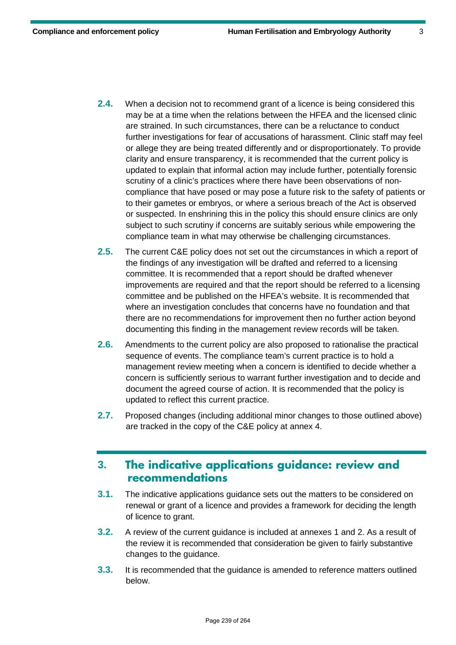- **2.4.** When a decision not to recommend grant of a licence is being considered this may be at a time when the relations between the HFEA and the licensed clinic are strained. In such circumstances, there can be a reluctance to conduct further investigations for fear of accusations of harassment. Clinic staff may feel or allege they are being treated differently and or disproportionately. To provide clarity and ensure transparency, it is recommended that the current policy is updated to explain that informal action may include further, potentially forensic scrutiny of a clinic's practices where there have been observations of noncompliance that have posed or may pose a future risk to the safety of patients or to their gametes or embryos, or where a serious breach of the Act is observed or suspected. In enshrining this in the policy this should ensure clinics are only subject to such scrutiny if concerns are suitably serious while empowering the compliance team in what may otherwise be challenging circumstances.
- **2.5.** The current C&E policy does not set out the circumstances in which a report of the findings of any investigation will be drafted and referred to a licensing committee. It is recommended that a report should be drafted whenever improvements are required and that the report should be referred to a licensing committee and be published on the HFEA's website. It is recommended that where an investigation concludes that concerns have no foundation and that there are no recommendations for improvement then no further action beyond documenting this finding in the management review records will be taken.
- **2.6.** Amendments to the current policy are also proposed to rationalise the practical sequence of events. The compliance team's current practice is to hold a management review meeting when a concern is identified to decide whether a concern is sufficiently serious to warrant further investigation and to decide and document the agreed course of action. It is recommended that the policy is updated to reflect this current practice.
- **2.7.** Proposed changes (including additional minor changes to those outlined above) are tracked in the copy of the C&E policy at annex 4.

## **3. The indicative applications guidance: review and recommendations**

- **3.1.** The indicative applications guidance sets out the matters to be considered on renewal or grant of a licence and provides a framework for deciding the length of licence to grant.
- **3.2.** A review of the current guidance is included at annexes 1 and 2. As a result of the review it is recommended that consideration be given to fairly substantive changes to the guidance.
- **3.3.** It is recommended that the guidance is amended to reference matters outlined below.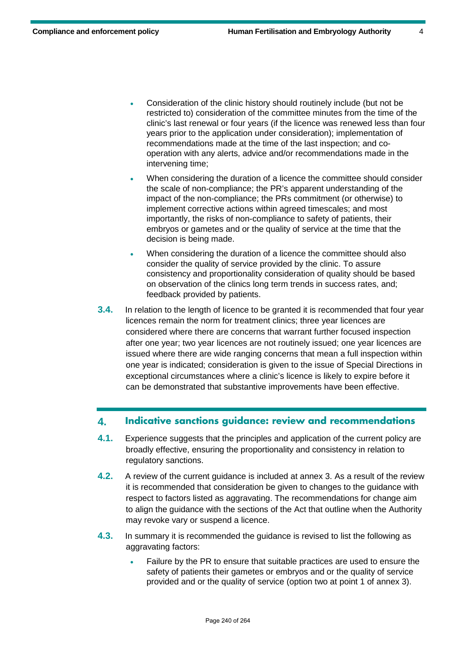- Consideration of the clinic history should routinely include (but not be restricted to) consideration of the committee minutes from the time of the clinic's last renewal or four years (if the licence was renewed less than four years prior to the application under consideration); implementation of recommendations made at the time of the last inspection; and cooperation with any alerts, advice and/or recommendations made in the intervening time;
- When considering the duration of a licence the committee should consider the scale of non-compliance; the PR's apparent understanding of the impact of the non-compliance; the PRs commitment (or otherwise) to implement corrective actions within agreed timescales; and most importantly, the risks of non-compliance to safety of patients, their embryos or gametes and or the quality of service at the time that the decision is being made.
- When considering the duration of a licence the committee should also consider the quality of service provided by the clinic. To assure consistency and proportionality consideration of quality should be based on observation of the clinics long term trends in success rates, and; feedback provided by patients.
- **3.4.** In relation to the length of licence to be granted it is recommended that four year licences remain the norm for treatment clinics; three year licences are considered where there are concerns that warrant further focused inspection after one year; two year licences are not routinely issued; one year licences are issued where there are wide ranging concerns that mean a full inspection within one year is indicated; consideration is given to the issue of Special Directions in exceptional circumstances where a clinic's licence is likely to expire before it can be demonstrated that substantive improvements have been effective.

#### **4. Indicative sanctions guidance: review and recommendations**

- **4.1.** Experience suggests that the principles and application of the current policy are broadly effective, ensuring the proportionality and consistency in relation to regulatory sanctions.
- **4.2.** A review of the current guidance is included at annex 3. As a result of the review it is recommended that consideration be given to changes to the guidance with respect to factors listed as aggravating. The recommendations for change aim to align the guidance with the sections of the Act that outline when the Authority may revoke vary or suspend a licence.
- **4.3.** In summary it is recommended the guidance is revised to list the following as aggravating factors:
	- Failure by the PR to ensure that suitable practices are used to ensure the safety of patients their gametes or embryos and or the quality of service provided and or the quality of service (option two at point 1 of annex 3).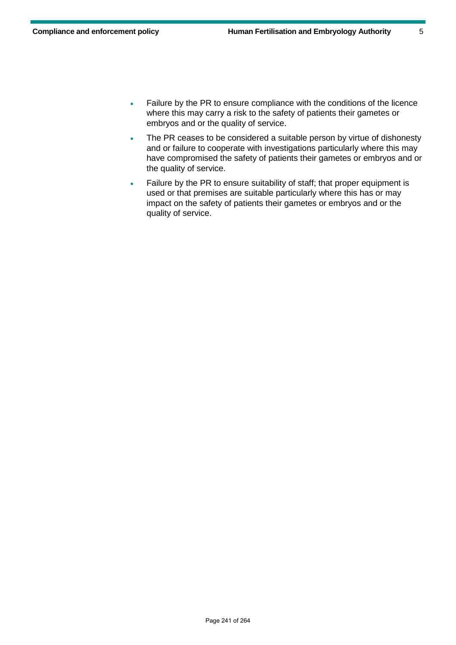- Failure by the PR to ensure compliance with the conditions of the licence where this may carry a risk to the safety of patients their gametes or embryos and or the quality of service.
- The PR ceases to be considered a suitable person by virtue of dishonesty and or failure to cooperate with investigations particularly where this may have compromised the safety of patients their gametes or embryos and or the quality of service.
- Failure by the PR to ensure suitability of staff; that proper equipment is used or that premises are suitable particularly where this has or may impact on the safety of patients their gametes or embryos and or the quality of service.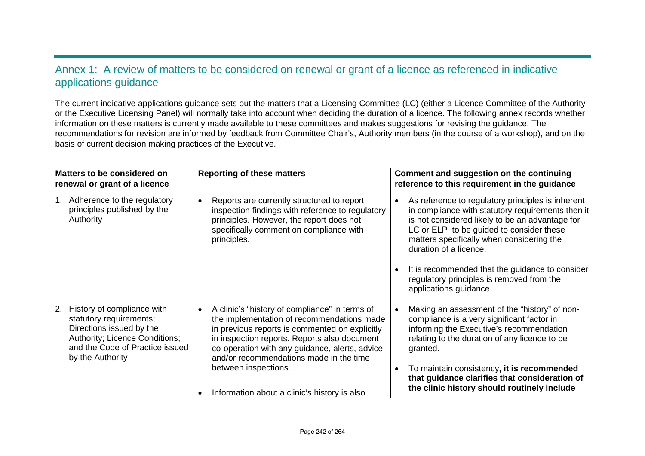## Annex 1: A review of matters to be considered on renewal or grant of a licence as referenced in indicative applications guidance

The current indicative applications guidance sets out the matters that a Licensing Committee (LC) (either a Licence Committee of the Authority or the Executive Licensing Panel) will normally take into account when deciding the duration of a licence. The following annex records whether information on these matters is currently made available to these committees and makes suggestions for revising the guidance. The recommendations for revision are informed by feedback from Committee Chair's, Authority members (in the course of a workshop), and on the basis of current decision making practices of the Executive.

| Matters to be considered on<br>renewal or grant of a licence                                                                                                                     | <b>Reporting of these matters</b>                                                                                                                                                                                                                                                                                                                                                | Comment and suggestion on the continuing<br>reference to this requirement in the guidance                                                                                                                                                                                                                                                                                                                                       |
|----------------------------------------------------------------------------------------------------------------------------------------------------------------------------------|----------------------------------------------------------------------------------------------------------------------------------------------------------------------------------------------------------------------------------------------------------------------------------------------------------------------------------------------------------------------------------|---------------------------------------------------------------------------------------------------------------------------------------------------------------------------------------------------------------------------------------------------------------------------------------------------------------------------------------------------------------------------------------------------------------------------------|
| Adherence to the regulatory<br>principles published by the<br>Authority                                                                                                          | Reports are currently structured to report<br>$\bullet$<br>inspection findings with reference to regulatory<br>principles. However, the report does not<br>specifically comment on compliance with<br>principles.                                                                                                                                                                | As reference to regulatory principles is inherent<br>$\bullet$<br>in compliance with statutory requirements then it<br>is not considered likely to be an advantage for<br>LC or ELP to be guided to consider these<br>matters specifically when considering the<br>duration of a licence.<br>It is recommended that the guidance to consider<br>$\bullet$<br>regulatory principles is removed from the<br>applications guidance |
| History of compliance with<br>2.<br>statutory requirements;<br>Directions issued by the<br>Authority; Licence Conditions;<br>and the Code of Practice issued<br>by the Authority | A clinic's "history of compliance" in terms of<br>$\bullet$<br>the implementation of recommendations made<br>in previous reports is commented on explicitly<br>in inspection reports. Reports also document<br>co-operation with any guidance, alerts, advice<br>and/or recommendations made in the time<br>between inspections.<br>Information about a clinic's history is also | Making an assessment of the "history" of non-<br>$\bullet$<br>compliance is a very significant factor in<br>informing the Executive's recommendation<br>relating to the duration of any licence to be<br>granted.<br>To maintain consistency, it is recommended<br>$\bullet$<br>that guidance clarifies that consideration of<br>the clinic history should routinely include                                                    |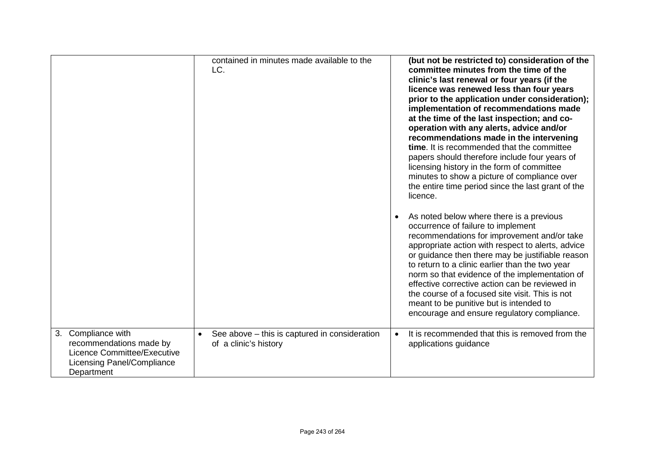|                                                                                                                                 | contained in minutes made available to the<br>LC.                                   |           | (but not be restricted to) consideration of the<br>committee minutes from the time of the<br>clinic's last renewal or four years (if the<br>licence was renewed less than four years<br>prior to the application under consideration);<br>implementation of recommendations made<br>at the time of the last inspection; and co-<br>operation with any alerts, advice and/or<br>recommendations made in the intervening<br>time. It is recommended that the committee<br>papers should therefore include four years of<br>licensing history in the form of committee<br>minutes to show a picture of compliance over<br>the entire time period since the last grant of the<br>licence. |
|---------------------------------------------------------------------------------------------------------------------------------|-------------------------------------------------------------------------------------|-----------|---------------------------------------------------------------------------------------------------------------------------------------------------------------------------------------------------------------------------------------------------------------------------------------------------------------------------------------------------------------------------------------------------------------------------------------------------------------------------------------------------------------------------------------------------------------------------------------------------------------------------------------------------------------------------------------|
|                                                                                                                                 |                                                                                     | $\bullet$ | As noted below where there is a previous<br>occurrence of failure to implement<br>recommendations for improvement and/or take<br>appropriate action with respect to alerts, advice<br>or guidance then there may be justifiable reason<br>to return to a clinic earlier than the two year<br>norm so that evidence of the implementation of<br>effective corrective action can be reviewed in<br>the course of a focused site visit. This is not<br>meant to be punitive but is intended to<br>encourage and ensure regulatory compliance.                                                                                                                                            |
| 3. Compliance with<br>recommendations made by<br>Licence Committee/Executive<br><b>Licensing Panel/Compliance</b><br>Department | See above - this is captured in consideration<br>$\bullet$<br>of a clinic's history | $\bullet$ | It is recommended that this is removed from the<br>applications guidance                                                                                                                                                                                                                                                                                                                                                                                                                                                                                                                                                                                                              |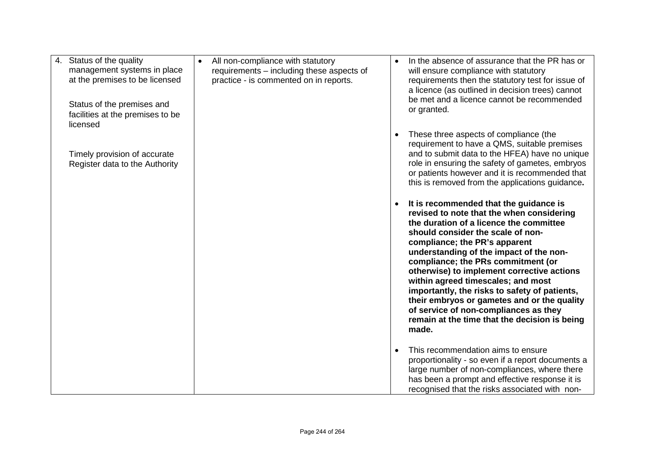| 4. Status of the quality<br>management systems in place<br>at the premises to be licensed<br>Status of the premises and<br>facilities at the premises to be<br>licensed | All non-compliance with statutory<br>$\bullet$<br>requirements - including these aspects of<br>practice - is commented on in reports. | In the absence of assurance that the PR has or<br>will ensure compliance with statutory<br>requirements then the statutory test for issue of<br>a licence (as outlined in decision trees) cannot<br>be met and a licence cannot be recommended<br>or granted.                                                                                                                                                                                                                                                                                                                |
|-------------------------------------------------------------------------------------------------------------------------------------------------------------------------|---------------------------------------------------------------------------------------------------------------------------------------|------------------------------------------------------------------------------------------------------------------------------------------------------------------------------------------------------------------------------------------------------------------------------------------------------------------------------------------------------------------------------------------------------------------------------------------------------------------------------------------------------------------------------------------------------------------------------|
| Timely provision of accurate<br>Register data to the Authority                                                                                                          |                                                                                                                                       | These three aspects of compliance (the<br>requirement to have a QMS, suitable premises<br>and to submit data to the HFEA) have no unique<br>role in ensuring the safety of gametes, embryos<br>or patients however and it is recommended that<br>this is removed from the applications guidance.                                                                                                                                                                                                                                                                             |
|                                                                                                                                                                         |                                                                                                                                       | It is recommended that the guidance is<br>revised to note that the when considering<br>the duration of a licence the committee<br>should consider the scale of non-<br>compliance; the PR's apparent<br>understanding of the impact of the non-<br>compliance; the PRs commitment (or<br>otherwise) to implement corrective actions<br>within agreed timescales; and most<br>importantly, the risks to safety of patients,<br>their embryos or gametes and or the quality<br>of service of non-compliances as they<br>remain at the time that the decision is being<br>made. |
|                                                                                                                                                                         |                                                                                                                                       | This recommendation aims to ensure<br>proportionality - so even if a report documents a<br>large number of non-compliances, where there<br>has been a prompt and effective response it is<br>recognised that the risks associated with non-                                                                                                                                                                                                                                                                                                                                  |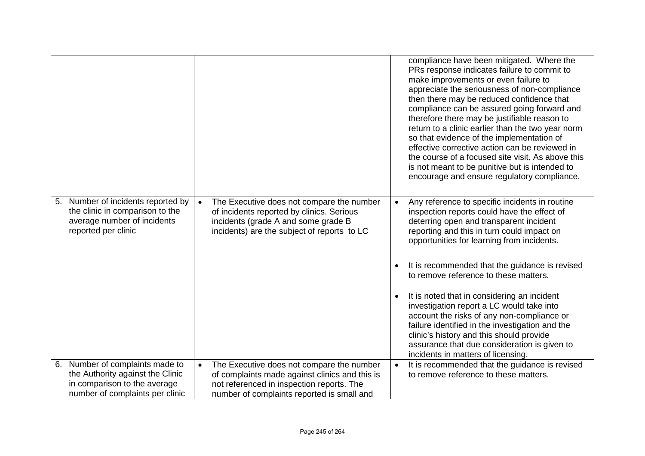|                                                                                                                                |                                                                                                                                                                                           | compliance have been mitigated. Where the<br>PRs response indicates failure to commit to<br>make improvements or even failure to<br>appreciate the seriousness of non-compliance<br>then there may be reduced confidence that<br>compliance can be assured going forward and<br>therefore there may be justifiable reason to<br>return to a clinic earlier than the two year norm<br>so that evidence of the implementation of<br>effective corrective action can be reviewed in<br>the course of a focused site visit. As above this<br>is not meant to be punitive but is intended to<br>encourage and ensure regulatory compliance.                                                   |
|--------------------------------------------------------------------------------------------------------------------------------|-------------------------------------------------------------------------------------------------------------------------------------------------------------------------------------------|------------------------------------------------------------------------------------------------------------------------------------------------------------------------------------------------------------------------------------------------------------------------------------------------------------------------------------------------------------------------------------------------------------------------------------------------------------------------------------------------------------------------------------------------------------------------------------------------------------------------------------------------------------------------------------------|
| Number of incidents reported by<br>5.<br>the clinic in comparison to the<br>average number of incidents<br>reported per clinic | The Executive does not compare the number<br>$\bullet$<br>of incidents reported by clinics. Serious<br>incidents (grade A and some grade B<br>incidents) are the subject of reports to LC | Any reference to specific incidents in routine<br>$\bullet$<br>inspection reports could have the effect of<br>deterring open and transparent incident<br>reporting and this in turn could impact on<br>opportunities for learning from incidents.<br>It is recommended that the guidance is revised<br>to remove reference to these matters.<br>It is noted that in considering an incident<br>$\bullet$<br>investigation report a LC would take into<br>account the risks of any non-compliance or<br>failure identified in the investigation and the<br>clinic's history and this should provide<br>assurance that due consideration is given to<br>incidents in matters of licensing. |
| Number of complaints made to<br>6.                                                                                             | The Executive does not compare the number<br>$\bullet$                                                                                                                                    | It is recommended that the guidance is revised<br>$\bullet$                                                                                                                                                                                                                                                                                                                                                                                                                                                                                                                                                                                                                              |
| the Authority against the Clinic                                                                                               | of complaints made against clinics and this is                                                                                                                                            | to remove reference to these matters.                                                                                                                                                                                                                                                                                                                                                                                                                                                                                                                                                                                                                                                    |
| in comparison to the average                                                                                                   | not referenced in inspection reports. The                                                                                                                                                 |                                                                                                                                                                                                                                                                                                                                                                                                                                                                                                                                                                                                                                                                                          |
| number of complaints per clinic                                                                                                | number of complaints reported is small and                                                                                                                                                |                                                                                                                                                                                                                                                                                                                                                                                                                                                                                                                                                                                                                                                                                          |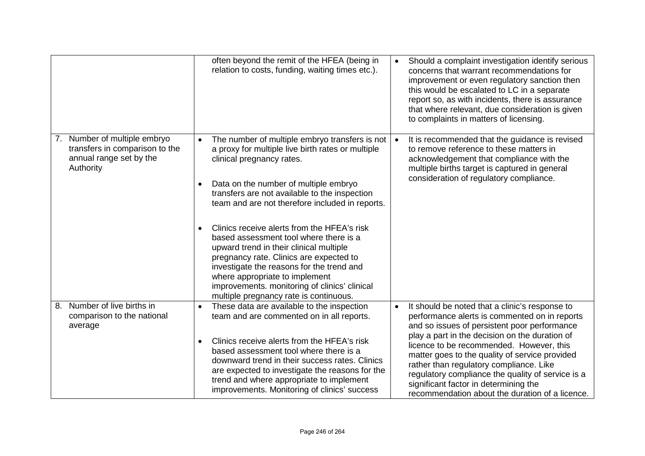|                                                                                                        | often beyond the remit of the HFEA (being in<br>relation to costs, funding, waiting times etc.).                                                                                                                                                                                                                                                                                                                                                                                                                                                                                                                                                    | $\bullet$ | Should a complaint investigation identify serious<br>concerns that warrant recommendations for<br>improvement or even regulatory sanction then<br>this would be escalated to LC in a separate<br>report so, as with incidents, there is assurance<br>that where relevant, due consideration is given<br>to complaints in matters of licensing.                                                                                                                                              |
|--------------------------------------------------------------------------------------------------------|-----------------------------------------------------------------------------------------------------------------------------------------------------------------------------------------------------------------------------------------------------------------------------------------------------------------------------------------------------------------------------------------------------------------------------------------------------------------------------------------------------------------------------------------------------------------------------------------------------------------------------------------------------|-----------|---------------------------------------------------------------------------------------------------------------------------------------------------------------------------------------------------------------------------------------------------------------------------------------------------------------------------------------------------------------------------------------------------------------------------------------------------------------------------------------------|
| 7. Number of multiple embryo<br>transfers in comparison to the<br>annual range set by the<br>Authority | The number of multiple embryo transfers is not<br>$\bullet$<br>a proxy for multiple live birth rates or multiple<br>clinical pregnancy rates.<br>Data on the number of multiple embryo<br>transfers are not available to the inspection<br>team and are not therefore included in reports.<br>Clinics receive alerts from the HFEA's risk<br>based assessment tool where there is a<br>upward trend in their clinical multiple<br>pregnancy rate. Clinics are expected to<br>investigate the reasons for the trend and<br>where appropriate to implement<br>improvements. monitoring of clinics' clinical<br>multiple pregnancy rate is continuous. |           | It is recommended that the guidance is revised<br>to remove reference to these matters in<br>acknowledgement that compliance with the<br>multiple births target is captured in general<br>consideration of regulatory compliance.                                                                                                                                                                                                                                                           |
| Number of live births in<br>8.<br>comparison to the national<br>average                                | These data are available to the inspection<br>$\bullet$<br>team and are commented on in all reports.<br>Clinics receive alerts from the HFEA's risk<br>$\bullet$<br>based assessment tool where there is a<br>downward trend in their success rates. Clinics<br>are expected to investigate the reasons for the<br>trend and where appropriate to implement<br>improvements. Monitoring of clinics' success                                                                                                                                                                                                                                         | $\bullet$ | It should be noted that a clinic's response to<br>performance alerts is commented on in reports<br>and so issues of persistent poor performance<br>play a part in the decision on the duration of<br>licence to be recommended. However, this<br>matter goes to the quality of service provided<br>rather than regulatory compliance. Like<br>regulatory compliance the quality of service is a<br>significant factor in determining the<br>recommendation about the duration of a licence. |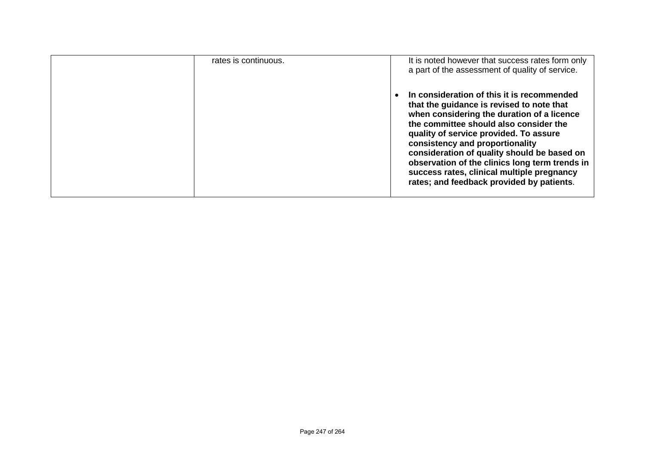| rates is continuous. | It is noted however that success rates form only<br>a part of the assessment of quality of service.                                                                                                                                                                                                                                                                                                                                                      |
|----------------------|----------------------------------------------------------------------------------------------------------------------------------------------------------------------------------------------------------------------------------------------------------------------------------------------------------------------------------------------------------------------------------------------------------------------------------------------------------|
|                      | In consideration of this it is recommended<br>that the guidance is revised to note that<br>when considering the duration of a licence<br>the committee should also consider the<br>quality of service provided. To assure<br>consistency and proportionality<br>consideration of quality should be based on<br>observation of the clinics long term trends in<br>success rates, clinical multiple pregnancy<br>rates; and feedback provided by patients. |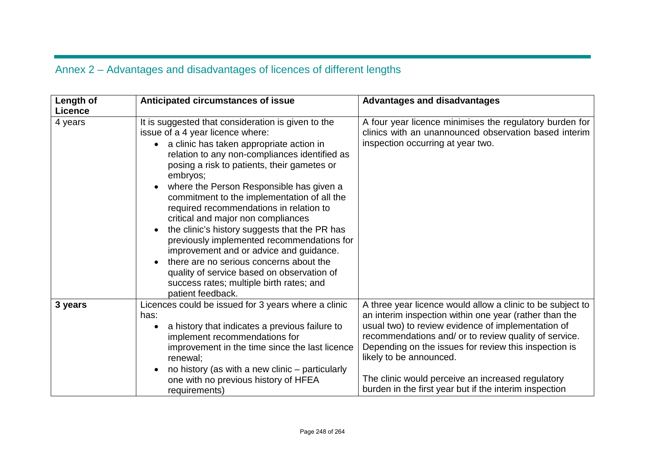# Annex 2 – Advantages and disadvantages of licences of different lengths

| Length of<br><b>Licence</b> | Anticipated circumstances of issue                                                                                                                                                                                                                                                                                                                                                                                                                                                                                                                                                                                                                                                                                                          | <b>Advantages and disadvantages</b>                                                                                                                                                                                                                                                                                                                                                                                                    |
|-----------------------------|---------------------------------------------------------------------------------------------------------------------------------------------------------------------------------------------------------------------------------------------------------------------------------------------------------------------------------------------------------------------------------------------------------------------------------------------------------------------------------------------------------------------------------------------------------------------------------------------------------------------------------------------------------------------------------------------------------------------------------------------|----------------------------------------------------------------------------------------------------------------------------------------------------------------------------------------------------------------------------------------------------------------------------------------------------------------------------------------------------------------------------------------------------------------------------------------|
| 4 years                     | It is suggested that consideration is given to the<br>issue of a 4 year licence where:<br>a clinic has taken appropriate action in<br>relation to any non-compliances identified as<br>posing a risk to patients, their gametes or<br>embryos;<br>where the Person Responsible has given a<br>commitment to the implementation of all the<br>required recommendations in relation to<br>critical and major non compliances<br>the clinic's history suggests that the PR has<br>$\bullet$<br>previously implemented recommendations for<br>improvement and or advice and guidance.<br>there are no serious concerns about the<br>quality of service based on observation of<br>success rates; multiple birth rates; and<br>patient feedback. | A four year licence minimises the regulatory burden for<br>clinics with an unannounced observation based interim<br>inspection occurring at year two.                                                                                                                                                                                                                                                                                  |
| 3 years                     | Licences could be issued for 3 years where a clinic<br>has:<br>a history that indicates a previous failure to<br>implement recommendations for<br>improvement in the time since the last licence<br>renewal;<br>no history (as with a new clinic – particularly<br>one with no previous history of HFEA<br>requirements)                                                                                                                                                                                                                                                                                                                                                                                                                    | A three year licence would allow a clinic to be subject to<br>an interim inspection within one year (rather than the<br>usual two) to review evidence of implementation of<br>recommendations and/ or to review quality of service.<br>Depending on the issues for review this inspection is<br>likely to be announced.<br>The clinic would perceive an increased regulatory<br>burden in the first year but if the interim inspection |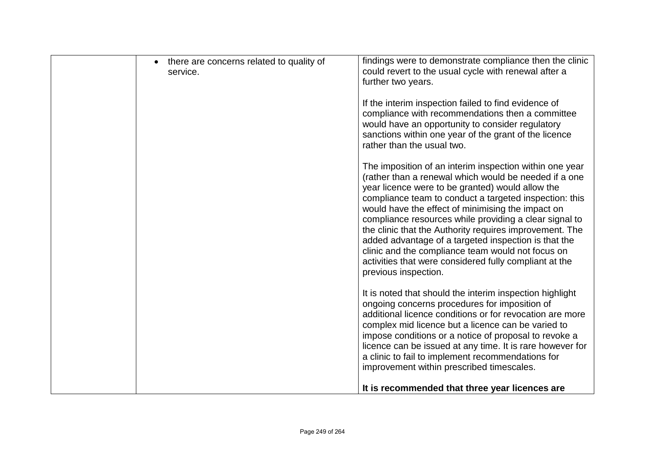| there are concerns related to quality of<br>service. | findings were to demonstrate compliance then the clinic<br>could revert to the usual cycle with renewal after a<br>further two years.                                                                                                                                                                                                                                                                                                                                                                                                                                                                   |
|------------------------------------------------------|---------------------------------------------------------------------------------------------------------------------------------------------------------------------------------------------------------------------------------------------------------------------------------------------------------------------------------------------------------------------------------------------------------------------------------------------------------------------------------------------------------------------------------------------------------------------------------------------------------|
|                                                      | If the interim inspection failed to find evidence of<br>compliance with recommendations then a committee<br>would have an opportunity to consider regulatory<br>sanctions within one year of the grant of the licence<br>rather than the usual two.                                                                                                                                                                                                                                                                                                                                                     |
|                                                      | The imposition of an interim inspection within one year<br>(rather than a renewal which would be needed if a one<br>year licence were to be granted) would allow the<br>compliance team to conduct a targeted inspection: this<br>would have the effect of minimising the impact on<br>compliance resources while providing a clear signal to<br>the clinic that the Authority requires improvement. The<br>added advantage of a targeted inspection is that the<br>clinic and the compliance team would not focus on<br>activities that were considered fully compliant at the<br>previous inspection. |
|                                                      | It is noted that should the interim inspection highlight<br>ongoing concerns procedures for imposition of<br>additional licence conditions or for revocation are more<br>complex mid licence but a licence can be varied to<br>impose conditions or a notice of proposal to revoke a<br>licence can be issued at any time. It is rare however for<br>a clinic to fail to implement recommendations for<br>improvement within prescribed timescales.                                                                                                                                                     |
|                                                      | It is recommended that three year licences are                                                                                                                                                                                                                                                                                                                                                                                                                                                                                                                                                          |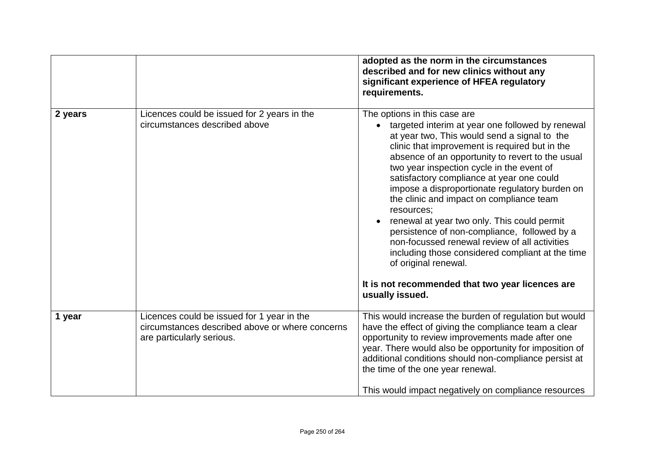|         |                                                                                                                            | adopted as the norm in the circumstances<br>described and for new clinics without any<br>significant experience of HFEA regulatory<br>requirements.                                                                                                                                                                                                                                                                                                                                                                                                                                                                                                                                                                                                          |
|---------|----------------------------------------------------------------------------------------------------------------------------|--------------------------------------------------------------------------------------------------------------------------------------------------------------------------------------------------------------------------------------------------------------------------------------------------------------------------------------------------------------------------------------------------------------------------------------------------------------------------------------------------------------------------------------------------------------------------------------------------------------------------------------------------------------------------------------------------------------------------------------------------------------|
| 2 years | Licences could be issued for 2 years in the<br>circumstances described above                                               | The options in this case are<br>targeted interim at year one followed by renewal<br>$\bullet$<br>at year two, This would send a signal to the<br>clinic that improvement is required but in the<br>absence of an opportunity to revert to the usual<br>two year inspection cycle in the event of<br>satisfactory compliance at year one could<br>impose a disproportionate regulatory burden on<br>the clinic and impact on compliance team<br>resources;<br>renewal at year two only. This could permit<br>persistence of non-compliance, followed by a<br>non-focussed renewal review of all activities<br>including those considered compliant at the time<br>of original renewal.<br>It is not recommended that two year licences are<br>usually issued. |
| 1 year  | Licences could be issued for 1 year in the<br>circumstances described above or where concerns<br>are particularly serious. | This would increase the burden of regulation but would<br>have the effect of giving the compliance team a clear<br>opportunity to review improvements made after one<br>year. There would also be opportunity for imposition of<br>additional conditions should non-compliance persist at<br>the time of the one year renewal.<br>This would impact negatively on compliance resources                                                                                                                                                                                                                                                                                                                                                                       |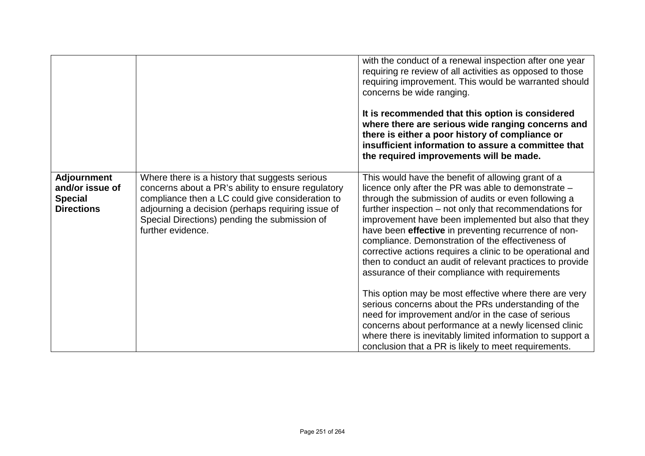|                                                                              |                                                                                                                                                                                                                                                                                     | with the conduct of a renewal inspection after one year<br>requiring re review of all activities as opposed to those<br>requiring improvement. This would be warranted should<br>concerns be wide ranging.<br>It is recommended that this option is considered<br>where there are serious wide ranging concerns and<br>there is either a poor history of compliance or<br>insufficient information to assure a committee that<br>the required improvements will be made.                                                                                                       |
|------------------------------------------------------------------------------|-------------------------------------------------------------------------------------------------------------------------------------------------------------------------------------------------------------------------------------------------------------------------------------|--------------------------------------------------------------------------------------------------------------------------------------------------------------------------------------------------------------------------------------------------------------------------------------------------------------------------------------------------------------------------------------------------------------------------------------------------------------------------------------------------------------------------------------------------------------------------------|
| <b>Adjournment</b><br>and/or issue of<br><b>Special</b><br><b>Directions</b> | Where there is a history that suggests serious<br>concerns about a PR's ability to ensure regulatory<br>compliance then a LC could give consideration to<br>adjourning a decision (perhaps requiring issue of<br>Special Directions) pending the submission of<br>further evidence. | This would have the benefit of allowing grant of a<br>licence only after the PR was able to demonstrate -<br>through the submission of audits or even following a<br>further inspection – not only that recommendations for<br>improvement have been implemented but also that they<br>have been effective in preventing recurrence of non-<br>compliance. Demonstration of the effectiveness of<br>corrective actions requires a clinic to be operational and<br>then to conduct an audit of relevant practices to provide<br>assurance of their compliance with requirements |
|                                                                              |                                                                                                                                                                                                                                                                                     | This option may be most effective where there are very<br>serious concerns about the PRs understanding of the<br>need for improvement and/or in the case of serious<br>concerns about performance at a newly licensed clinic<br>where there is inevitably limited information to support a<br>conclusion that a PR is likely to meet requirements.                                                                                                                                                                                                                             |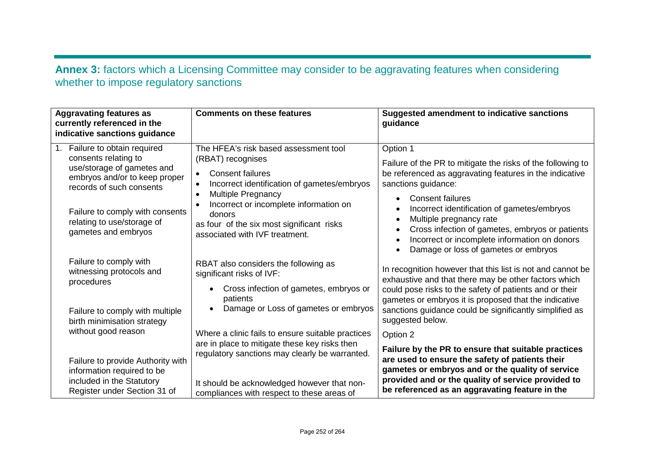## **Annex 3:** factors which a Licensing Committee may consider to be aggravating features when considering whether to impose regulatory sanctions

| <b>Aggravating features as</b><br>currently referenced in the<br>indicative sanctions guidance                                                                                                                                        | <b>Comments on these features</b>                                                                                                                                                                                                                                                                                              | <b>Suggested amendment to indicative sanctions</b><br>guidance                                                                                                                                                                                                                                                                                                                                                                                                                           |
|---------------------------------------------------------------------------------------------------------------------------------------------------------------------------------------------------------------------------------------|--------------------------------------------------------------------------------------------------------------------------------------------------------------------------------------------------------------------------------------------------------------------------------------------------------------------------------|------------------------------------------------------------------------------------------------------------------------------------------------------------------------------------------------------------------------------------------------------------------------------------------------------------------------------------------------------------------------------------------------------------------------------------------------------------------------------------------|
| Failure to obtain required<br>consents relating to<br>use/storage of gametes and<br>embryos and/or to keep proper<br>records of such consents<br>Failure to comply with consents<br>relating to use/storage of<br>gametes and embryos | The HFEA's risk based assessment tool<br>(RBAT) recognises<br><b>Consent failures</b><br>$\bullet$<br>Incorrect identification of gametes/embryos<br><b>Multiple Pregnancy</b><br>$\bullet$<br>Incorrect or incomplete information on<br>donors<br>as four of the six most significant risks<br>associated with IVF treatment. | Option 1<br>Failure of the PR to mitigate the risks of the following to<br>be referenced as aggravating features in the indicative<br>sanctions guidance:<br><b>Consent failures</b><br>$\bullet$<br>Incorrect identification of gametes/embryos<br>$\bullet$<br>Multiple pregnancy rate<br>$\bullet$<br>Cross infection of gametes, embryos or patients<br>$\bullet$<br>Incorrect or incomplete information on donors<br>$\bullet$<br>Damage or loss of gametes or embryos<br>$\bullet$ |
| Failure to comply with<br>witnessing protocols and<br>procedures<br>Failure to comply with multiple                                                                                                                                   | RBAT also considers the following as<br>significant risks of IVF:<br>Cross infection of gametes, embryos or<br>patients<br>Damage or Loss of gametes or embryos                                                                                                                                                                | In recognition however that this list is not and cannot be<br>exhaustive and that there may be other factors which<br>could pose risks to the safety of patients and or their<br>gametes or embryos it is proposed that the indicative<br>sanctions guidance could be significantly simplified as<br>suggested below.                                                                                                                                                                    |
| birth minimisation strategy<br>without good reason                                                                                                                                                                                    | Where a clinic fails to ensure suitable practices<br>are in place to mitigate these key risks then<br>regulatory sanctions may clearly be warranted.                                                                                                                                                                           | Option 2<br>Failure by the PR to ensure that suitable practices                                                                                                                                                                                                                                                                                                                                                                                                                          |
| Failure to provide Authority with<br>information required to be<br>included in the Statutory<br>It should be acknowledged however that non-<br>Register under Section 31 of<br>compliances with respect to these areas of             | are used to ensure the safety of patients their<br>gametes or embryos and or the quality of service<br>provided and or the quality of service provided to<br>be referenced as an aggravating feature in the                                                                                                                    |                                                                                                                                                                                                                                                                                                                                                                                                                                                                                          |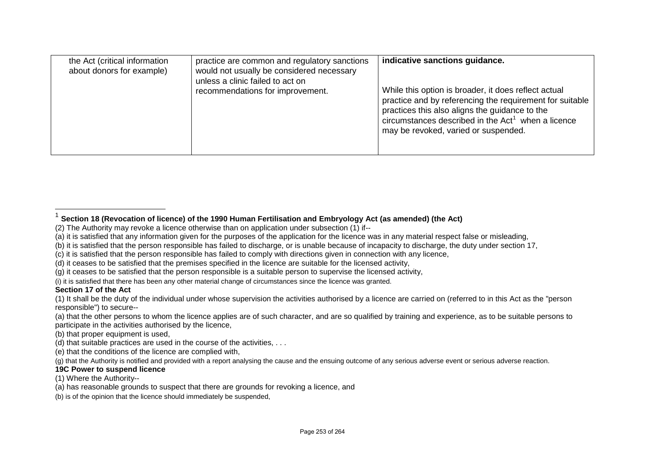<span id="page-16-0"></span>

| the Act (critical information<br>about donors for example) | practice are common and regulatory sanctions<br>would not usually be considered necessary<br>unless a clinic failed to act on<br>recommendations for improvement. | indicative sanctions guidance.<br>While this option is broader, it does reflect actual                                                                                                                     |
|------------------------------------------------------------|-------------------------------------------------------------------------------------------------------------------------------------------------------------------|------------------------------------------------------------------------------------------------------------------------------------------------------------------------------------------------------------|
|                                                            |                                                                                                                                                                   | practice and by referencing the requirement for suitable<br>practices this also aligns the guidance to the<br>circumstances described in the $Act1$ when a licence<br>may be revoked, varied or suspended. |

(i) it is satisfied that there has been any other material change of circumstances since the licence was granted.

## **Section 17 of the Act**

- (a) that the other persons to whom the licence applies are of such character, and are so qualified by training and experience, as to be suitable persons to participate in the activities authorised by the licence,
- (b) that proper equipment is used,
- (d) that suitable practices are used in the course of the activities, . . .
- (e) that the conditions of the licence are complied with,

(g) that the Authority is notified and provided with a report analysing the cause and the ensuing outcome of any serious adverse event or serious adverse reaction.

## **19C Power to suspend licence**

(1) Where the Authority--

(b) is of the opinion that the licence should immediately be suspended,

<sup>1</sup> **Section 18 (Revocation of licence) of the 1990 Human Fertilisation and Embryology Act (as amended) (the Act)**

<sup>(2)</sup> The Authority may revoke a licence otherwise than on application under subsection (1) if--

<sup>(</sup>a) it is satisfied that any information given for the purposes of the application for the licence was in any material respect false or misleading,

<sup>(</sup>b) it is satisfied that the person responsible has failed to discharge, or is unable because of incapacity to discharge, the duty under section 17,

<sup>(</sup>c) it is satisfied that the person responsible has failed to comply with directions given in connection with any licence,

<sup>(</sup>d) it ceases to be satisfied that the premises specified in the licence are suitable for the licensed activity,

<sup>(</sup>g) it ceases to be satisfied that the person responsible is a suitable person to supervise the licensed activity,

<sup>(1)</sup> It shall be the duty of the individual under whose supervision the activities authorised by a licence are carried on (referred to in this Act as the "person responsible") to secure--

<sup>(</sup>a) has reasonable grounds to suspect that there are grounds for revoking a licence, and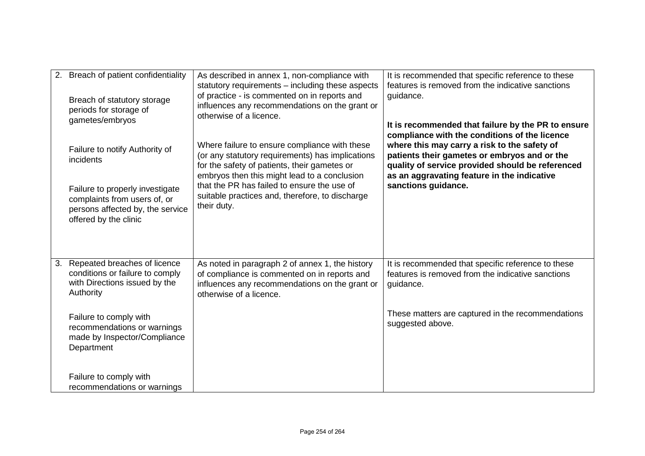|    | 2. Breach of patient confidentiality<br>Breach of statutory storage<br>periods for storage of<br>gametes/embryos             | As described in annex 1, non-compliance with<br>statutory requirements – including these aspects<br>of practice - is commented on in reports and<br>influences any recommendations on the grant or<br>otherwise of a licence.                                                                                      | It is recommended that specific reference to these<br>features is removed from the indicative sanctions<br>guidance.<br>It is recommended that failure by the PR to ensure<br>compliance with the conditions of the licence |
|----|------------------------------------------------------------------------------------------------------------------------------|--------------------------------------------------------------------------------------------------------------------------------------------------------------------------------------------------------------------------------------------------------------------------------------------------------------------|-----------------------------------------------------------------------------------------------------------------------------------------------------------------------------------------------------------------------------|
|    | Failure to notify Authority of<br>incidents                                                                                  | Where failure to ensure compliance with these<br>(or any statutory requirements) has implications<br>for the safety of patients, their gametes or<br>embryos then this might lead to a conclusion<br>that the PR has failed to ensure the use of<br>suitable practices and, therefore, to discharge<br>their duty. | where this may carry a risk to the safety of<br>patients their gametes or embryos and or the<br>quality of service provided should be referenced<br>as an aggravating feature in the indicative<br>sanctions guidance.      |
|    | Failure to properly investigate<br>complaints from users of, or<br>persons affected by, the service<br>offered by the clinic |                                                                                                                                                                                                                                                                                                                    |                                                                                                                                                                                                                             |
| 3. | Repeated breaches of licence<br>conditions or failure to comply<br>with Directions issued by the<br>Authority                | As noted in paragraph 2 of annex 1, the history<br>of compliance is commented on in reports and<br>influences any recommendations on the grant or<br>otherwise of a licence.                                                                                                                                       | It is recommended that specific reference to these<br>features is removed from the indicative sanctions<br>guidance.                                                                                                        |
|    | Failure to comply with<br>recommendations or warnings<br>made by Inspector/Compliance<br>Department                          |                                                                                                                                                                                                                                                                                                                    | These matters are captured in the recommendations<br>suggested above.                                                                                                                                                       |
|    | Failure to comply with<br>recommendations or warnings                                                                        |                                                                                                                                                                                                                                                                                                                    |                                                                                                                                                                                                                             |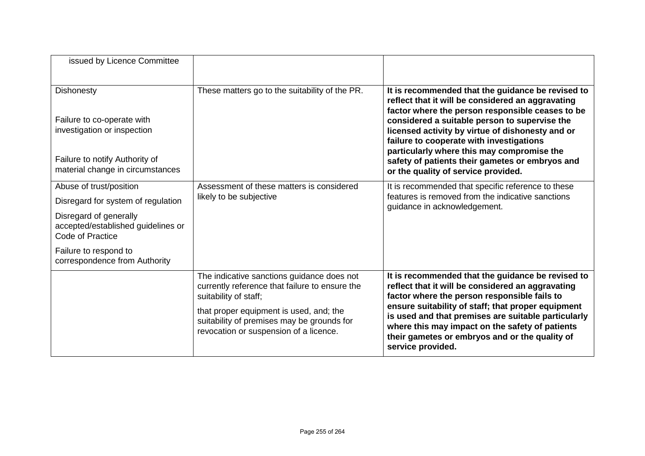| issued by Licence Committee                                                      |                                                                                                                                 |                                                                                                                                                                                                                                                                                                                                                                                               |
|----------------------------------------------------------------------------------|---------------------------------------------------------------------------------------------------------------------------------|-----------------------------------------------------------------------------------------------------------------------------------------------------------------------------------------------------------------------------------------------------------------------------------------------------------------------------------------------------------------------------------------------|
| <b>Dishonesty</b>                                                                | These matters go to the suitability of the PR.                                                                                  | It is recommended that the guidance be revised to<br>reflect that it will be considered an aggravating<br>factor where the person responsible ceases to be                                                                                                                                                                                                                                    |
| Failure to co-operate with<br>investigation or inspection                        |                                                                                                                                 | considered a suitable person to supervise the<br>licensed activity by virtue of dishonesty and or<br>failure to cooperate with investigations<br>particularly where this may compromise the                                                                                                                                                                                                   |
| Failure to notify Authority of<br>material change in circumstances               |                                                                                                                                 | safety of patients their gametes or embryos and<br>or the quality of service provided.                                                                                                                                                                                                                                                                                                        |
| Abuse of trust/position                                                          | Assessment of these matters is considered                                                                                       | It is recommended that specific reference to these<br>features is removed from the indicative sanctions<br>guidance in acknowledgement.                                                                                                                                                                                                                                                       |
| Disregard for system of regulation                                               | likely to be subjective                                                                                                         |                                                                                                                                                                                                                                                                                                                                                                                               |
| Disregard of generally<br>accepted/established guidelines or<br>Code of Practice |                                                                                                                                 |                                                                                                                                                                                                                                                                                                                                                                                               |
| Failure to respond to<br>correspondence from Authority                           |                                                                                                                                 |                                                                                                                                                                                                                                                                                                                                                                                               |
|                                                                                  | The indicative sanctions guidance does not<br>currently reference that failure to ensure the<br>suitability of staff;           | It is recommended that the guidance be revised to<br>reflect that it will be considered an aggravating<br>factor where the person responsible fails to<br>ensure suitability of staff; that proper equipment<br>is used and that premises are suitable particularly<br>where this may impact on the safety of patients<br>their gametes or embryos and or the quality of<br>service provided. |
|                                                                                  | that proper equipment is used, and; the<br>suitability of premises may be grounds for<br>revocation or suspension of a licence. |                                                                                                                                                                                                                                                                                                                                                                                               |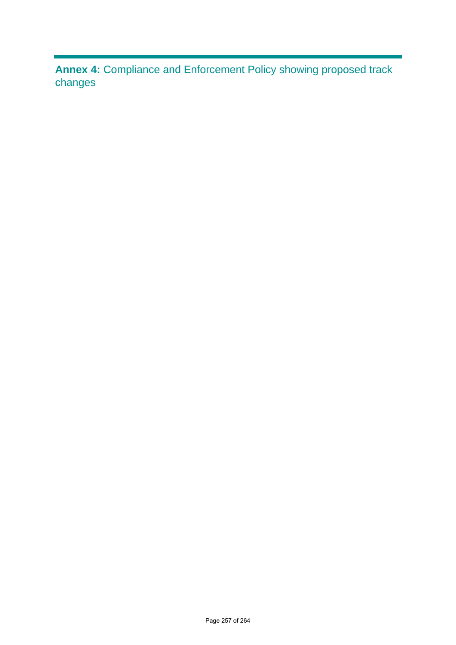**Annex 4:** Compliance and Enforcement Policy showing proposed track changes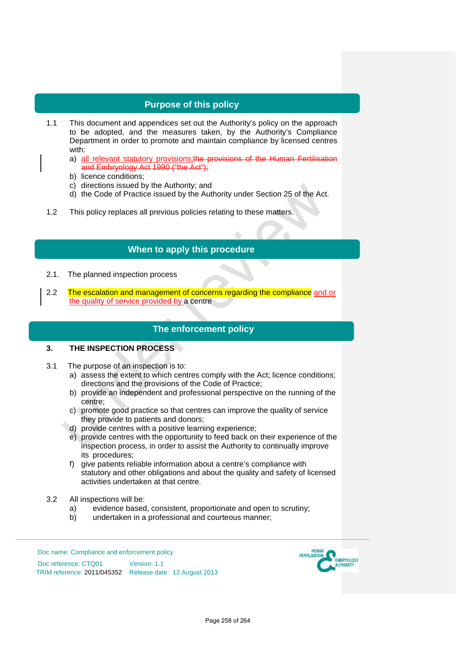## **Purpose of this policy**

- 1.1 This document and appendices set out the Authority's policy on the approach to be adopted, and the measures taken, by the Authority's Compliance Department in order to promote and maintain compliance by licensed centres with:
	- a) all relevant statutory provisions; the provisions of the Human Fertilisation and Embryology Act 1990 ("the Act"):
	- b) licence conditions;
	- c) directions issued by the Authority; and
	- d) the Code of Practice issued by the Authority under Section 25 of the Act.
- 1.2 This policy replaces all previous policies relating to these matters.

## **When to apply this procedure**

- 2.1. The planned inspection process
- 2.2 The escalation and management of concerns regarding the compliance and or the quality of service provided by a centre

## **The enforcement policy**

#### **3. THE INSPECTION PROCESS**

- 3.1 The purpose of an inspection is to:
	- a) assess the extent to which centres comply with the Act; licence conditions; directions and the provisions of the Code of Practice;
	- b) provide an independent and professional perspective on the running of the centre;
	- c) promote good practice so that centres can improve the quality of service they provide to patients and donors;
	- d) provide centres with a positive learning experience;
	- e) provide centres with the opportunity to feed back on their experience of the inspection process, in order to assist the Authority to continually improve its procedures;
	- f) give patients reliable information about a centre's compliance with statutory and other obligations and about the quality and safety of licensed activities undertaken at that centre.
- 3.2 All inspections will be:
	- a) evidence based, consistent, proportionate and open to scrutiny;<br>b) undertaken in a professional and courteous manner;
	- undertaken in a professional and courteous manner;

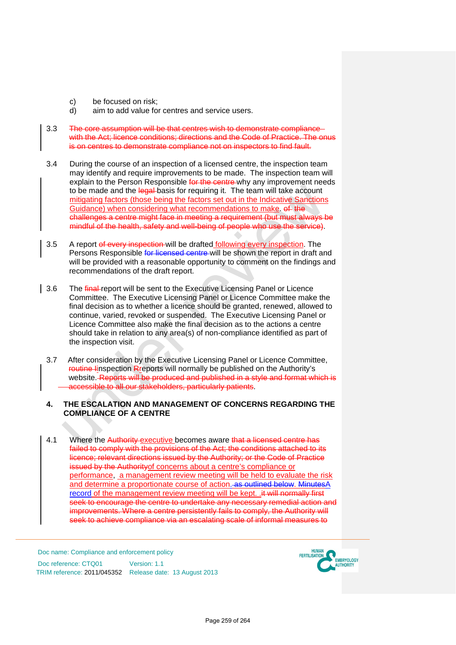- c) be focused on risk;<br>d) aim to add value for
- aim to add value for centres and service users.
- 3.3 The core assumption will be that centres wish to demonstrate compliance with the Act; licence conditions; directions and the Code of Practice. The onus is on centres to demonstrate compliance not on inspectors to find fault.
- 3.4 During the course of an inspection of a licensed centre, the inspection team may identify and require improvements to be made. The inspection team will explain to the Person Responsible for the centre why any improvement needs to be made and the legal-basis for requiring it. The team will take account mitigating factors (those being the factors set out in the Indicative Sanctions Guidance) when considering what recommendations to make. of the challenges a centre might face in meeting a requirement (but must always be mindful of the health, safety and well-being of people who use the service).
- 3.5 A report of every inspection will be drafted following every inspection. The Persons Responsible for licensed centre will be shown the report in draft and will be provided with a reasonable opportunity to comment on the findings and recommendations of the draft report.
- 3.6 The final report will be sent to the Executive Licensing Panel or Licence Committee. The Executive Licensing Panel or Licence Committee make the final decision as to whether a licence should be granted, renewed, allowed to continue, varied, revoked or suspended. The Executive Licensing Panel or Licence Committee also make the final decision as to the actions a centre should take in relation to any area(s) of non-compliance identified as part of the inspection visit.
	- 3.7 After consideration by the Executive Licensing Panel or Licence Committee, routine linspection Rreports will normally be published on the Authority's website. Reports will be produced and published in a style and format which is accessible to all our stakeholders, particularly patients.
	- **4. THE ESCALATION AND MANAGEMENT OF CONCERNS REGARDING THE COMPLIANCE OF A CENTRE**
- 4.1 Where the Authority executive becomes aware that a licensed centre has failed to comply with the provisions of the Act; the conditions attached to its licence; relevant directions issued by the Authority; or the Code of Practice issued by the Authorityof concerns about a centre's compliance or performance, a management review meeting will be held to evaluate the risk and determine a proportionate course of action. as outlined below. MinutesA record of the management review meeting will be kept. .it will normally first seek to encourage the centre to undertake any necessary remedial action and improvements. Where a centre persistently fails to comply, the Authority will seek to achieve compliance via an escalating scale of informal measures to

Doc name: Compliance and enforcement policy

Doc reference: CTQ01 Version: 1.1 TRIM reference: 2011/045352 Release date: 13 August 2013

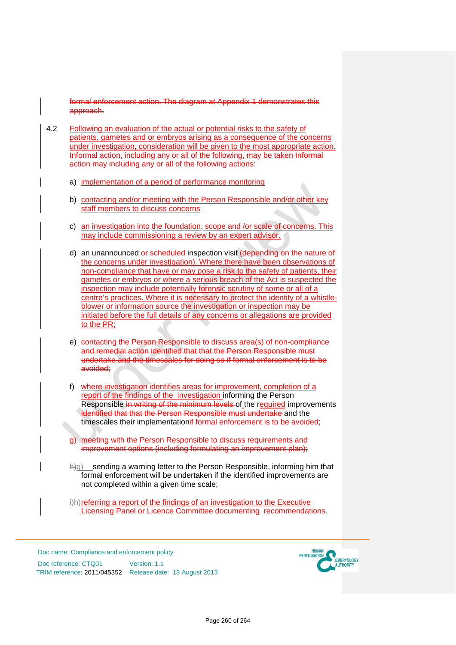formal enforcement action. The diagram at Appendix 1 demonstrates this approach.

- 4.2 Following an evaluation of the actual or potential risks to the safety of patients, gametes and or embryos arising as a consequence of the concerns under investigation, consideration will be given to the most appropriate action. Informal action, including any or all of the following, may be taken Informal action may including any or all of the following actions:
	- a) implementation of a period of performance monitoring
	- b) contacting and/or meeting with the Person Responsible and/or other key staff members to discuss concerns
	- c) an investigation into the foundation, scope and /or scale of concerns. This may include commissioning a review by an expert advisor.
	- d) an unannounced or scheduled inspection visit (depending on the nature of the concerns under investigation). Where there have been observations of non-compliance that have or may pose a risk to the safety of patients, their gametes or embryos or where a serious breach of the Act is suspected the inspection may include potentially forensic scrutiny of some or all of a centre's practices. Where it is necessary to protect the identity of a whistleblower or information source the investigation or inspection may be initiated before the full details of any concerns or allegations are provided to the PR;
	- e) contacting the Person Responsible to discuss area(s) of non-compliance and remedial action identified that that the Person Responsible must undertake and the timescales for doing so if formal enforcement is to be avoided;
	- f) where investigation identifies areas for improvement, completion of a report of the findings of the investigation informing the Person Responsible in writing of the minimum levels of the required improvements identified that that the Person Responsible must undertake and the timescales their implementationif formal enforcement is to be avoided;
	- g) meeting with the Person Responsible to discuss requirements and improvement options (including formulating an improvement plan);
	- $\forall$ h)g) sending a warning letter to the Person Responsible, informing him that formal enforcement will be undertaken if the identified improvements are not completed within a given time scale;

 $\hat{p}$ ) referring a report of the findings of an investigation to the Executive Licensing Panel or Licence Committee documenting recommendations.

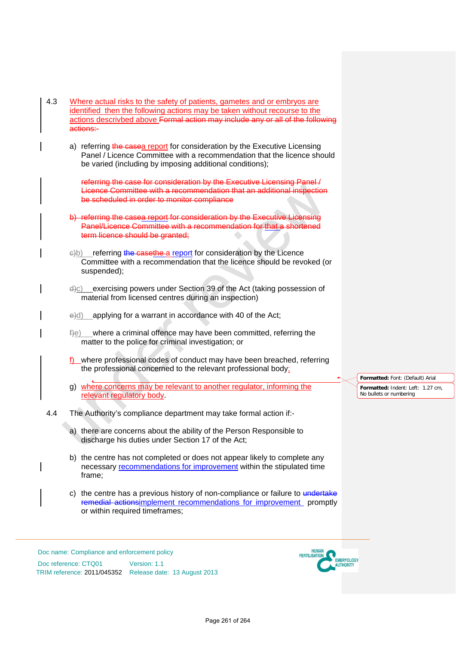- 4.3 Where actual risks to the safety of patients, gametes and or embryos are identified then the following actions may be taken without recourse to the actions descrivbed above Formal action may include any or all of the following actions:
	- a) referring the casea report for consideration by the Executive Licensing Panel / Licence Committee with a recommendation that the licence should be varied (including by imposing additional conditions);

referring the case for consideration by the Executive Licensing Panel / Licence Committee with a recommendation that an additional inspection be scheduled in order to monitor compliance

- referring the casea report for consideration by the Executive Licensing Panel/Licence Committee with a recommendation for that a shortened term licence should be granted:
- $e(b)$  referring the casethe a report for consideration by the Licence Committee with a recommendation that the licence should be revoked (or suspended);
- exercising powers under Section 39 of the Act (taking possession of material from licensed centres during an inspection)
- $\leftrightarrow$ d) applying for a warrant in accordance with 40 of the Act;
- $f(e)$  where a criminal offence may have been committed, referring the matter to the police for criminal investigation; or
- f) where professional codes of conduct may have been breached, referring the professional concerned to the relevant professional body;
- g) where concerns may be relevant to another regulator, informing the relevant regulatory body.
- 4.4 The Authority's compliance department may take formal action if:
	- a) there are concerns about the ability of the Person Responsible to discharge his duties under Section 17 of the Act;
	- b) the centre has not completed or does not appear likely to complete any necessary recommendations for improvement within the stipulated time frame;
	- c) the centre has a previous history of non-compliance or failure to undertake remedial actionsimplement recommendations for improvement promptly or within required timeframes;

Doc name: Compliance and enforcement policy Doc reference: CTQ01 Version: 1.1 TRIM reference: 2011/045352 Release date: 13 August 2013



**Formatted:** Font: (Default) Arial **Formatted:** Indent: Left: 1.27 cm, No bullets or numbering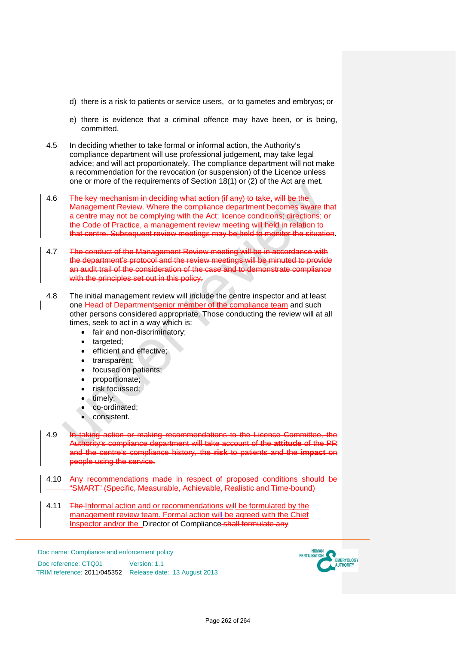- d) there is a risk to patients or service users, or to gametes and embryos; or
- e) there is evidence that a criminal offence may have been, or is being, committed.
- 4.5 In deciding whether to take formal or informal action, the Authority's compliance department will use professional judgement, may take legal advice; and will act proportionately. The compliance department will not make a recommendation for the revocation (or suspension) of the Licence unless one or more of the requirements of Section 18(1) or (2) of the Act are met.
- 4.6 The key mechanism in deciding what action (if any) to take, will be the Management Review. Where the compliance department becomes aware that a centre may not be complying with the Act; licence conditions; directions; or the Code of Practice, a management review meeting will held in relation to that centre. Subsequent review meetings may be held to monitor the situation.
- 4.7 The conduct of the Management Review meeting will be in accordance with the department's protocol and the review meetings will be minuted to provide an audit trail of the consideration of the case and to demonstrate compliance with the principles set out in this policy.
- 4.8 The initial management review will include the centre inspector and at least one Head of Departmentsenior member of the compliance team and such other persons considered appropriate. Those conducting the review will at all times, seek to act in a way which is:
	- fair and non-discriminatory;
	- targeted:
	- efficient and effective;
	- transparent;
	- focused on patients;
	- proportionate;
	- risk focussed;
	- timely;
	- co-ordinated;
	- consistent.
- 4.9 In taking action or making recommendations to the Licence Committee, the Authority's compliance department will take account of the **attitude** of the PR and the centre's compliance history, the **risk** to patients and the **impact** on people using the service.
- 4.10 Any recommendations made in respect of proposed conditions should be "SMART" (Specific, Measurable, Achievable, Realistic and Time-bound)
- 4.11 The Informal action and or recommendations will be formulated by the management review team. Formal action will be agreed with the Chief Inspector and/or the Director of Compliance shall formulate any

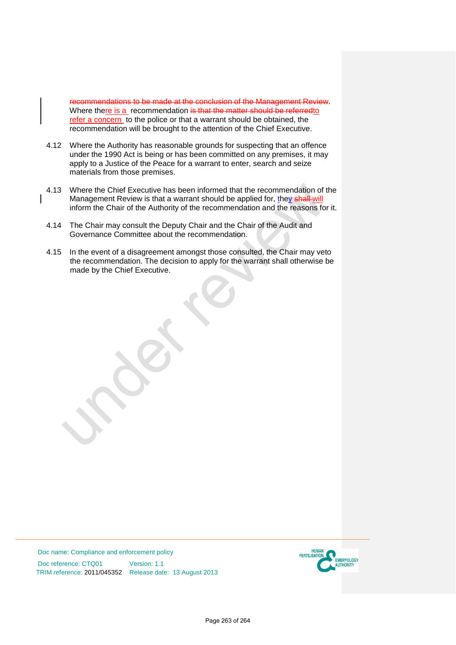recommendations to be made at the conclusion of the Management Review. Where there is a recommendation is that the matter should be referred to refer a concern to the police or that a warrant should be obtained, the recommendation will be brought to the attention of the Chief Executive.

- 4.12 Where the Authority has reasonable grounds for suspecting that an offence under the 1990 Act is being or has been committed on any premises, it may apply to a Justice of the Peace for a warrant to enter, search and seize materials from those premises.
- 4.13 Where the Chief Executive has been informed that the recommendation of the Management Review is that a warrant should be applied for, they shall will inform the Chair of the Authority of the recommendation and the reasons for it.
- 4.14 The Chair may consult the Deputy Chair and the Chair of the Audit and Governance Committee about the recommendation.
- 4.15 In the event of a disagreement amongst those consulted, the Chair may veto the recommendation. The decision to apply for the warrant shall otherwise be made by the Chief Executive.